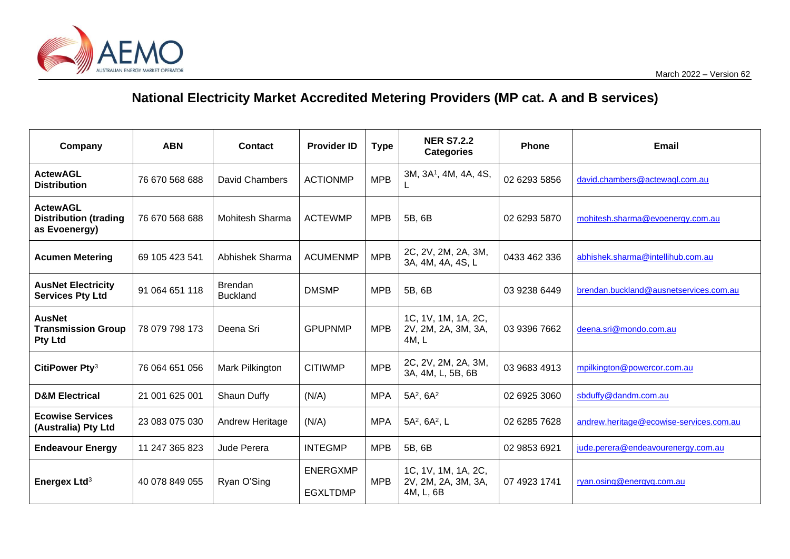# **National Electricity Market Accredited Metering Providers (MP cat. A and B services)**

| Company                                                          | <b>ABN</b>     | <b>Contact</b>                    | <b>Provider ID</b>                 | <b>Type</b> | <b>NER S7.2.2</b><br><b>Categories</b>                  | <b>Phone</b> | <b>Email</b>                            |
|------------------------------------------------------------------|----------------|-----------------------------------|------------------------------------|-------------|---------------------------------------------------------|--------------|-----------------------------------------|
| <b>ActewAGL</b><br><b>Distribution</b>                           | 76 670 568 688 | David Chambers                    | <b>ACTIONMP</b>                    | <b>MPB</b>  | 3M, 3A <sup>1</sup> , 4M, 4A, 4S,                       | 02 6293 5856 | david.chambers@actewagl.com.au          |
| <b>ActewAGL</b><br><b>Distribution (trading</b><br>as Evoenergy) | 76 670 568 688 | Mohitesh Sharma                   | <b>ACTEWMP</b>                     | <b>MPB</b>  | 5B, 6B                                                  | 02 6293 5870 | mohitesh.sharma@evoenergy.com.au        |
| <b>Acumen Metering</b>                                           | 69 105 423 541 | Abhishek Sharma                   | <b>ACUMENMP</b>                    | <b>MPB</b>  | 2C, 2V, 2M, 2A, 3M,<br>3A, 4M, 4A, 4S, L                | 0433 462 336 | abhishek.sharma@intellihub.com.au       |
| <b>AusNet Electricity</b><br><b>Services Pty Ltd</b>             | 91 064 651 118 | <b>Brendan</b><br><b>Buckland</b> | <b>DMSMP</b>                       | <b>MPB</b>  | 5B, 6B                                                  | 03 9238 6449 | brendan.buckland@ausnetservices.com.au  |
| <b>AusNet</b><br><b>Transmission Group</b><br><b>Pty Ltd</b>     | 78 079 798 173 | Deena Sri                         | <b>GPUPNMP</b>                     | <b>MPB</b>  | 1C, 1V, 1M, 1A, 2C,<br>2V, 2M, 2A, 3M, 3A,<br>4M, L     | 03 9396 7662 | deena.sri@mondo.com.au                  |
| CitiPower Pty <sup>3</sup>                                       | 76 064 651 056 | Mark Pilkington                   | <b>CITIWMP</b>                     | <b>MPB</b>  | 2C, 2V, 2M, 2A, 3M,<br>3A, 4M, L, 5B, 6B                | 03 9683 4913 | mpilkington@powercor.com.au             |
| <b>D&amp;M Electrical</b>                                        | 21 001 625 001 | Shaun Duffy                       | (N/A)                              | <b>MPA</b>  | $5A^2$ , $6A^2$                                         | 02 6925 3060 | sbduffy@dandm.com.au                    |
| <b>Ecowise Services</b><br>(Australia) Pty Ltd                   | 23 083 075 030 | Andrew Heritage                   | (N/A)                              | <b>MPA</b>  | 5A <sup>2</sup> , 6A <sup>2</sup> , L                   | 02 6285 7628 | andrew.heritage@ecowise-services.com.au |
| <b>Endeavour Energy</b>                                          | 11 247 365 823 | Jude Perera                       | <b>INTEGMP</b>                     | <b>MPB</b>  | 5B, 6B                                                  | 02 9853 6921 | jude.perera@endeavourenergy.com.au      |
| Energex Ltd <sup>3</sup>                                         | 40 078 849 055 | Ryan O'Sing                       | <b>ENERGXMP</b><br><b>EGXLTDMP</b> | <b>MPB</b>  | 1C, 1V, 1M, 1A, 2C,<br>2V, 2M, 2A, 3M, 3A,<br>4M, L, 6B | 07 4923 1741 | ryan.osing@energyq.com.au               |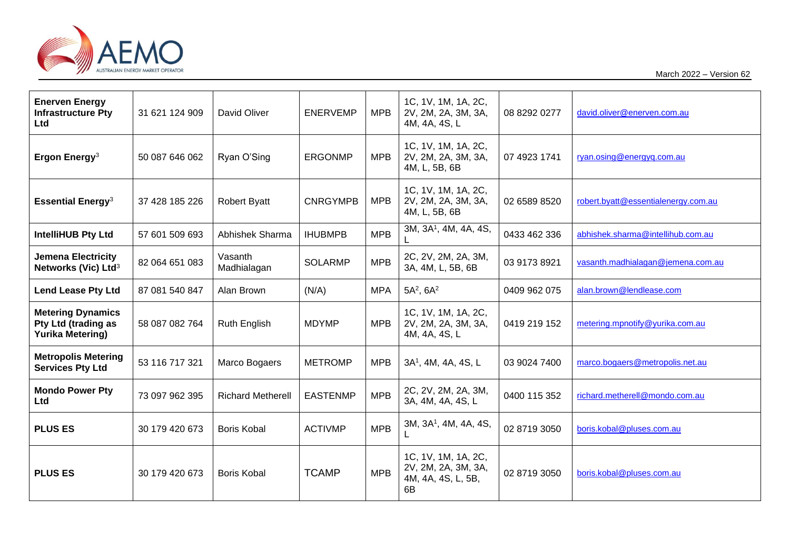

March 2022 – Version 62

| <b>Enerven Energy</b><br><b>Infrastructure Pty</b><br>Ltd                         | 31 621 124 909 | David Oliver             | <b>ENERVEMP</b> | <b>MPB</b> | 1C, 1V, 1M, 1A, 2C,<br>2V, 2M, 2A, 3M, 3A,<br>4M, 4A, 4S, L            | 08 8292 0277 | david.oliver@enerven.com.au         |
|-----------------------------------------------------------------------------------|----------------|--------------------------|-----------------|------------|------------------------------------------------------------------------|--------------|-------------------------------------|
| Ergon Energy <sup>3</sup>                                                         | 50 087 646 062 | Ryan O'Sing              | <b>ERGONMP</b>  | <b>MPB</b> | 1C, 1V, 1M, 1A, 2C,<br>2V, 2M, 2A, 3M, 3A,<br>4M, L, 5B, 6B            | 07 4923 1741 | ryan.osing@energyq.com.au           |
| <b>Essential Energy<sup>3</sup></b>                                               | 37 428 185 226 | <b>Robert Byatt</b>      | <b>CNRGYMPB</b> | <b>MPB</b> | 1C, 1V, 1M, 1A, 2C,<br>2V, 2M, 2A, 3M, 3A,<br>4M, L, 5B, 6B            | 02 6589 8520 | robert.byatt@essentialenergy.com.au |
| <b>IntelliHUB Pty Ltd</b>                                                         | 57 601 509 693 | Abhishek Sharma          | <b>IHUBMPB</b>  | <b>MPB</b> | 3M, 3A <sup>1</sup> , 4M, 4A, 4S,                                      | 0433 462 336 | abhishek.sharma@intellihub.com.au   |
| <b>Jemena Electricity</b><br>Networks (Vic) Ltd <sup>3</sup>                      | 82 064 651 083 | Vasanth<br>Madhialagan   | <b>SOLARMP</b>  | <b>MPB</b> | 2C, 2V, 2M, 2A, 3M,<br>3A, 4M, L, 5B, 6B                               | 03 9173 8921 | vasanth.madhialagan@jemena.com.au   |
| <b>Lend Lease Pty Ltd</b>                                                         | 87 081 540 847 | Alan Brown               | (N/A)           | <b>MPA</b> | $5A^2$ , $6A^2$                                                        | 0409 962 075 | alan.brown@lendlease.com            |
| <b>Metering Dynamics</b><br><b>Pty Ltd (trading as</b><br><b>Yurika Metering)</b> | 58 087 082 764 | <b>Ruth English</b>      | <b>MDYMP</b>    | <b>MPB</b> | 1C, 1V, 1M, 1A, 2C,<br>2V, 2M, 2A, 3M, 3A,<br>4M, 4A, 4S, L            | 0419 219 152 | metering.mpnotify@yurika.com.au     |
| <b>Metropolis Metering</b><br><b>Services Pty Ltd</b>                             | 53 116 717 321 | Marco Bogaers            | <b>METROMP</b>  | <b>MPB</b> | 3A <sup>1</sup> , 4M, 4A, 4S, L                                        | 03 9024 7400 | marco.bogaers@metropolis.net.au     |
| <b>Mondo Power Pty</b><br>Ltd                                                     | 73 097 962 395 | <b>Richard Metherell</b> | <b>EASTENMP</b> | <b>MPB</b> | 2C, 2V, 2M, 2A, 3M,<br>3A, 4M, 4A, 4S, L                               | 0400 115 352 | richard.metherell@mondo.com.au      |
| <b>PLUS ES</b>                                                                    | 30 179 420 673 | <b>Boris Kobal</b>       | <b>ACTIVMP</b>  | <b>MPB</b> | 3M, 3A <sup>1</sup> , 4M, 4A, 4S,                                      | 02 8719 3050 | boris.kobal@pluses.com.au           |
| <b>PLUS ES</b>                                                                    | 30 179 420 673 | <b>Boris Kobal</b>       | <b>TCAMP</b>    | <b>MPB</b> | 1C, 1V, 1M, 1A, 2C,<br>2V, 2M, 2A, 3M, 3A,<br>4M, 4A, 4S, L, 5B,<br>6B | 02 8719 3050 | boris.kobal@pluses.com.au           |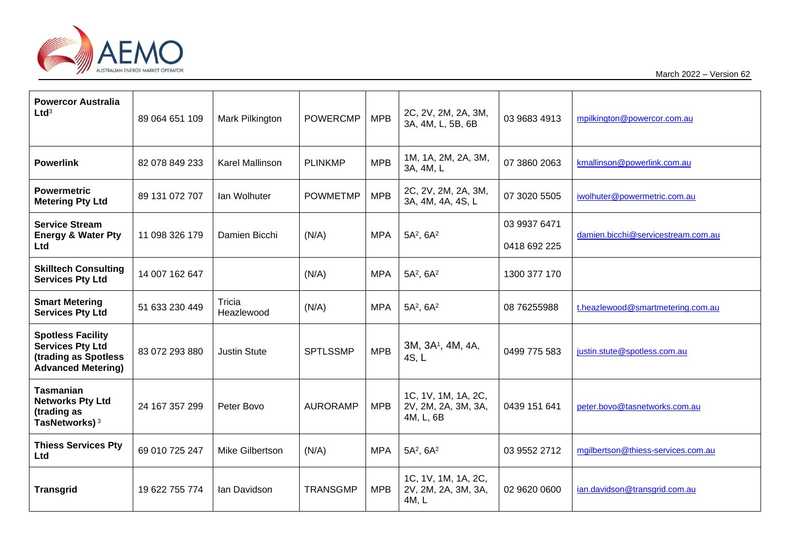

March 2022 – Version 62

| <b>Powercor Australia</b><br>Ltd <sup>3</sup>                                                            | 89 064 651 109 | Mark Pilkington      | <b>POWERCMP</b> | <b>MPB</b> | 2C, 2V, 2M, 2A, 3M,<br>3A, 4M, L, 5B, 6B                | 03 9683 4913                 | mpilkington@powercor.com.au        |
|----------------------------------------------------------------------------------------------------------|----------------|----------------------|-----------------|------------|---------------------------------------------------------|------------------------------|------------------------------------|
| <b>Powerlink</b>                                                                                         | 82 078 849 233 | Karel Mallinson      | <b>PLINKMP</b>  | <b>MPB</b> | 1M, 1A, 2M, 2A, 3M,<br>3A, 4M, L                        | 07 3860 2063                 | kmallinson@powerlink.com.au        |
| <b>Powermetric</b><br><b>Metering Pty Ltd</b>                                                            | 89 131 072 707 | Ian Wolhuter         | <b>POWMETMP</b> | <b>MPB</b> | 2C, 2V, 2M, 2A, 3M,<br>3A, 4M, 4A, 4S, L                | 07 3020 5505                 | iwolhuter@powermetric.com.au       |
| <b>Service Stream</b><br><b>Energy &amp; Water Pty</b><br>Ltd                                            | 11 098 326 179 | Damien Bicchi        | (N/A)           | <b>MPA</b> | $5A^2$ , $6A^2$                                         | 03 9937 6471<br>0418 692 225 | damien.bicchi@servicestream.com.au |
| <b>Skilltech Consulting</b><br><b>Services Pty Ltd</b>                                                   | 14 007 162 647 |                      | (N/A)           | <b>MPA</b> | $5A^2$ , $6A^2$                                         | 1300 377 170                 |                                    |
| <b>Smart Metering</b><br><b>Services Pty Ltd</b>                                                         | 51 633 230 449 | Tricia<br>Heazlewood | (N/A)           | <b>MPA</b> | $5A^2$ , $6A^2$                                         | 08 76255988                  | t.heazlewood@smartmetering.com.au  |
| <b>Spotless Facility</b><br><b>Services Pty Ltd</b><br>(trading as Spotless<br><b>Advanced Metering)</b> | 83 072 293 880 | <b>Justin Stute</b>  | <b>SPTLSSMP</b> | <b>MPB</b> | 3M, 3A <sup>1</sup> , 4M, 4A,<br>4S, L                  | 0499 775 583                 | justin.stute@spotless.com.au       |
| <b>Tasmanian</b><br><b>Networks Pty Ltd</b><br>(trading as<br>TasNetworks) <sup>3</sup>                  | 24 167 357 299 | Peter Bovo           | <b>AURORAMP</b> | <b>MPB</b> | 1C, 1V, 1M, 1A, 2C,<br>2V, 2M, 2A, 3M, 3A,<br>4M, L, 6B | 0439 151 641                 | peter.bovo@tasnetworks.com.au      |
| <b>Thiess Services Pty</b><br>Ltd                                                                        | 69 010 725 247 | Mike Gilbertson      | (N/A)           | <b>MPA</b> | $5A^2$ , $6A^2$                                         | 03 9552 2712                 | mgilbertson@thiess-services.com.au |
| <b>Transgrid</b>                                                                                         | 19 622 755 774 | Ian Davidson         | <b>TRANSGMP</b> | <b>MPB</b> | 1C, 1V, 1M, 1A, 2C,<br>2V, 2M, 2A, 3M, 3A,<br>4M, L     | 02 9620 0600                 | ian.davidson@transgrid.com.au      |